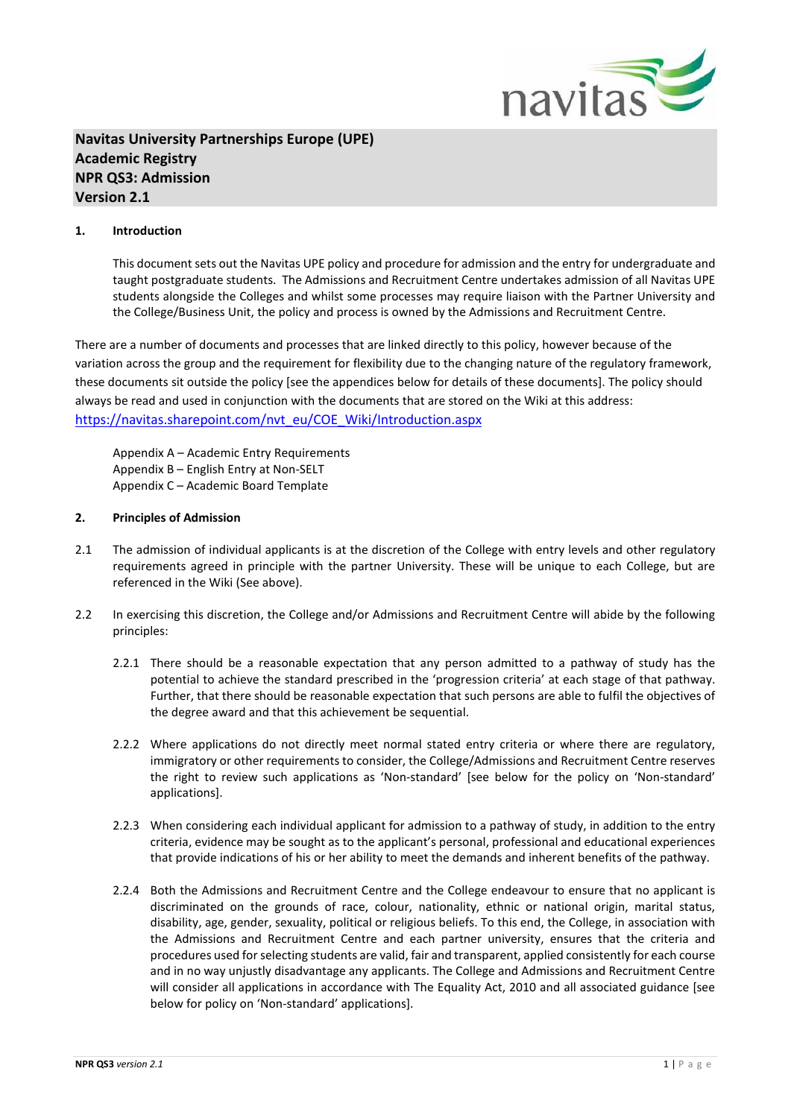

# **Navitas University Partnerships Europe (UPE) Academic Registry NPR QS3: Admission Version 2.1**

### **1. Introduction**

This document sets out the Navitas UPE policy and procedure for admission and the entry for undergraduate and taught postgraduate students. The Admissions and Recruitment Centre undertakes admission of all Navitas UPE students alongside the Colleges and whilst some processes may require liaison with the Partner University and the College/Business Unit, the policy and process is owned by the Admissions and Recruitment Centre.

There are a number of documents and processes that are linked directly to this policy, however because of the variation across the group and the requirement for flexibility due to the changing nature of the regulatory framework, these documents sit outside the policy [see the appendices below for details of these documents]. The policy should always be read and used in conjunction with the documents that are stored on the Wiki at this address: [https://navitas.sharepoint.com/nvt\\_eu/COE\\_Wiki/Introduction.aspx](https://navitas.sharepoint.com/nvt_eu/COE_Wiki/Introduction.aspx)

Appendix A – Academic Entry Requirements Appendix B – English Entry at Non-SELT Appendix C – Academic Board Template

### **2. Principles of Admission**

- 2.1 The admission of individual applicants is at the discretion of the College with entry levels and other regulatory requirements agreed in principle with the partner University. These will be unique to each College, but are referenced in the Wiki (See above).
- 2.2 In exercising this discretion, the College and/or Admissions and Recruitment Centre will abide by the following principles:
	- 2.2.1 There should be a reasonable expectation that any person admitted to a pathway of study has the potential to achieve the standard prescribed in the 'progression criteria' at each stage of that pathway. Further, that there should be reasonable expectation that such persons are able to fulfil the objectives of the degree award and that this achievement be sequential.
	- 2.2.2 Where applications do not directly meet normal stated entry criteria or where there are regulatory, immigratory or other requirements to consider, the College/Admissions and Recruitment Centre reserves the right to review such applications as 'Non-standard' [see below for the policy on 'Non-standard' applications].
	- 2.2.3 When considering each individual applicant for admission to a pathway of study, in addition to the entry criteria, evidence may be sought as to the applicant's personal, professional and educational experiences that provide indications of his or her ability to meet the demands and inherent benefits of the pathway.
	- 2.2.4 Both the Admissions and Recruitment Centre and the College endeavour to ensure that no applicant is discriminated on the grounds of race, colour, nationality, ethnic or national origin, marital status, disability, age, gender, sexuality, political or religious beliefs. To this end, the College, in association with the Admissions and Recruitment Centre and each partner university, ensures that the criteria and procedures used for selecting students are valid, fair and transparent, applied consistently for each course and in no way unjustly disadvantage any applicants. The College and Admissions and Recruitment Centre will consider all applications in accordance with The Equality Act, 2010 and all associated guidance [see below for policy on 'Non-standard' applications].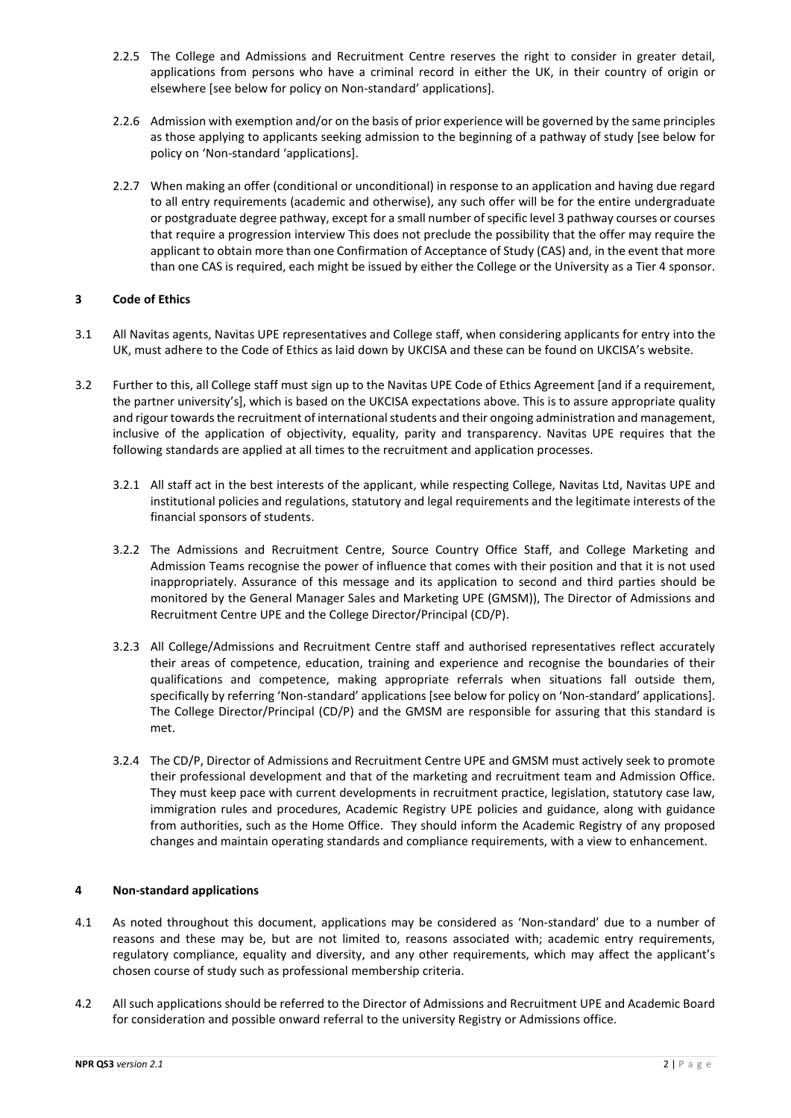- 2.2.5 The College and Admissions and Recruitment Centre reserves the right to consider in greater detail, applications from persons who have a criminal record in either the UK, in their country of origin or elsewhere [see below for policy on Non-standard' applications].
- 2.2.6 Admission with exemption and/or on the basis of prior experience will be governed by the same principles as those applying to applicants seeking admission to the beginning of a pathway of study [see below for policy on 'Non-standard 'applications].
- 2.2.7 When making an offer (conditional or unconditional) in response to an application and having due regard to all entry requirements (academic and otherwise), any such offer will be for the entire undergraduate or postgraduate degree pathway, except for a small number of specific level 3 pathway courses or courses that require a progression interview This does not preclude the possibility that the offer may require the applicant to obtain more than one Confirmation of Acceptance of Study (CAS) and, in the event that more than one CAS is required, each might be issued by either the College or the University as a Tier 4 sponsor.

### **3 Code of Ethics**

- 3.1 All Navitas agents, Navitas UPE representatives and College staff, when considering applicants for entry into the UK, must adhere to the Code of Ethics as laid down by UKCISA and these can be found on UKCISA's website.
- 3.2 Further to this, all College staff must sign up to the Navitas UPE Code of Ethics Agreement [and if a requirement, the partner university's], which is based on the UKCISA expectations above. This is to assure appropriate quality and rigour towards the recruitment of international students and their ongoing administration and management, inclusive of the application of objectivity, equality, parity and transparency. Navitas UPE requires that the following standards are applied at all times to the recruitment and application processes.
	- 3.2.1 All staff act in the best interests of the applicant, while respecting College, Navitas Ltd, Navitas UPE and institutional policies and regulations, statutory and legal requirements and the legitimate interests of the financial sponsors of students.
	- 3.2.2 The Admissions and Recruitment Centre, Source Country Office Staff, and College Marketing and Admission Teams recognise the power of influence that comes with their position and that it is not used inappropriately. Assurance of this message and its application to second and third parties should be monitored by the General Manager Sales and Marketing UPE (GMSM)), The Director of Admissions and Recruitment Centre UPE and the College Director/Principal (CD/P).
	- 3.2.3 All College/Admissions and Recruitment Centre staff and authorised representatives reflect accurately their areas of competence, education, training and experience and recognise the boundaries of their qualifications and competence, making appropriate referrals when situations fall outside them, specifically by referring 'Non-standard' applications [see below for policy on 'Non-standard' applications]. The College Director/Principal (CD/P) and the GMSM are responsible for assuring that this standard is met.
	- 3.2.4 The CD/P, Director of Admissions and Recruitment Centre UPE and GMSM must actively seek to promote their professional development and that of the marketing and recruitment team and Admission Office. They must keep pace with current developments in recruitment practice, legislation, statutory case law, immigration rules and procedures, Academic Registry UPE policies and guidance, along with guidance from authorities, such as the Home Office. They should inform the Academic Registry of any proposed changes and maintain operating standards and compliance requirements, with a view to enhancement.

### **4 Non-standard applications**

- 4.1 As noted throughout this document, applications may be considered as 'Non-standard' due to a number of reasons and these may be, but are not limited to, reasons associated with; academic entry requirements, regulatory compliance, equality and diversity, and any other requirements, which may affect the applicant's chosen course of study such as professional membership criteria.
- 4.2 All such applications should be referred to the Director of Admissions and Recruitment UPE and Academic Board for consideration and possible onward referral to the university Registry or Admissions office.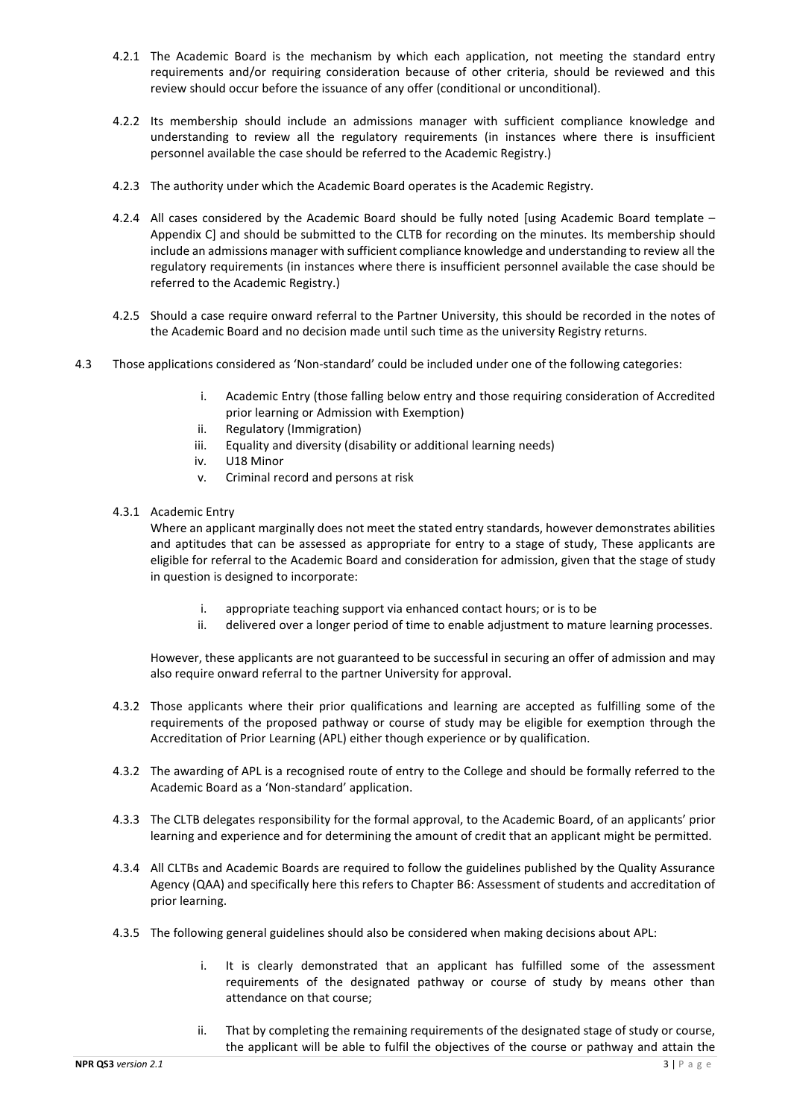- 4.2.1 The Academic Board is the mechanism by which each application, not meeting the standard entry requirements and/or requiring consideration because of other criteria, should be reviewed and this review should occur before the issuance of any offer (conditional or unconditional).
- 4.2.2 Its membership should include an admissions manager with sufficient compliance knowledge and understanding to review all the regulatory requirements (in instances where there is insufficient personnel available the case should be referred to the Academic Registry.)
- 4.2.3 The authority under which the Academic Board operates is the Academic Registry.
- 4.2.4 All cases considered by the Academic Board should be fully noted [using Academic Board template Appendix C] and should be submitted to the CLTB for recording on the minutes. Its membership should include an admissions manager with sufficient compliance knowledge and understanding to review all the regulatory requirements (in instances where there is insufficient personnel available the case should be referred to the Academic Registry.)
- 4.2.5 Should a case require onward referral to the Partner University, this should be recorded in the notes of the Academic Board and no decision made until such time as the university Registry returns.
- 4.3 Those applications considered as 'Non-standard' could be included under one of the following categories:
	- i. Academic Entry (those falling below entry and those requiring consideration of Accredited prior learning or Admission with Exemption)
	- ii. Regulatory (Immigration)
	- iii. Equality and diversity (disability or additional learning needs)
	- iv. U18 Minor
	- v. Criminal record and persons at risk
	- 4.3.1 Academic Entry

Where an applicant marginally does not meet the stated entry standards, however demonstrates abilities and aptitudes that can be assessed as appropriate for entry to a stage of study, These applicants are eligible for referral to the Academic Board and consideration for admission, given that the stage of study in question is designed to incorporate:

- i. appropriate teaching support via enhanced contact hours; or is to be
- ii. delivered over a longer period of time to enable adjustment to mature learning processes.

However, these applicants are not guaranteed to be successful in securing an offer of admission and may also require onward referral to the partner University for approval.

- 4.3.2 Those applicants where their prior qualifications and learning are accepted as fulfilling some of the requirements of the proposed pathway or course of study may be eligible for exemption through the Accreditation of Prior Learning (APL) either though experience or by qualification.
- 4.3.2 The awarding of APL is a recognised route of entry to the College and should be formally referred to the Academic Board as a 'Non-standard' application.
- 4.3.3 The CLTB delegates responsibility for the formal approval, to the Academic Board, of an applicants' prior learning and experience and for determining the amount of credit that an applicant might be permitted.
- 4.3.4 All CLTBs and Academic Boards are required to follow the guidelines published by the Quality Assurance Agency (QAA) and specifically here this refers to Chapter B6: Assessment of students and accreditation of prior learning.
- 4.3.5 The following general guidelines should also be considered when making decisions about APL:
	- i. It is clearly demonstrated that an applicant has fulfilled some of the assessment requirements of the designated pathway or course of study by means other than attendance on that course;
	- ii. That by completing the remaining requirements of the designated stage of study or course, the applicant will be able to fulfil the objectives of the course or pathway and attain the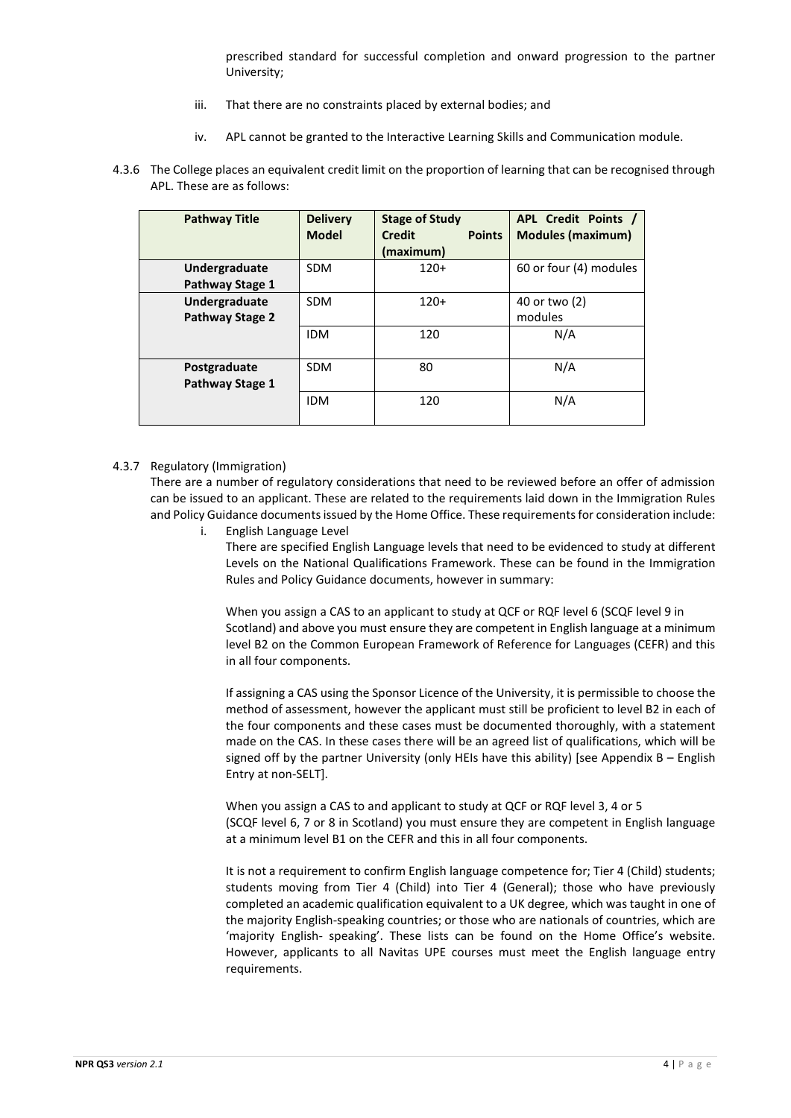prescribed standard for successful completion and onward progression to the partner University;

- iii. That there are no constraints placed by external bodies; and
- iv. APL cannot be granted to the Interactive Learning Skills and Communication module.
- 4.3.6 The College places an equivalent credit limit on the proportion of learning that can be recognised through APL. These are as follows:

| <b>Pathway Title</b> | <b>Delivery</b><br><b>Model</b> | <b>Stage of Study</b><br><b>Points</b><br><b>Credit</b><br>(maximum) | APL Credit Points /<br><b>Modules (maximum)</b> |
|----------------------|---------------------------------|----------------------------------------------------------------------|-------------------------------------------------|
| Undergraduate        | <b>SDM</b>                      | $120+$                                                               | 60 or four (4) modules                          |
| Pathway Stage 1      |                                 |                                                                      |                                                 |
| Undergraduate        | <b>SDM</b>                      | $120+$                                                               | 40 or two (2)                                   |
| Pathway Stage 2      |                                 |                                                                      | modules                                         |
|                      | <b>IDM</b>                      | 120                                                                  | N/A                                             |
| Postgraduate         | <b>SDM</b>                      | 80                                                                   | N/A                                             |
| Pathway Stage 1      |                                 |                                                                      |                                                 |
|                      | <b>IDM</b>                      | 120                                                                  | N/A                                             |

#### 4.3.7 Regulatory (Immigration)

There are a number of regulatory considerations that need to be reviewed before an offer of admission can be issued to an applicant. These are related to the requirements laid down in the Immigration Rules and Policy Guidance documents issued by the Home Office. These requirements for consideration include:

i. English Language Level

There are specified English Language levels that need to be evidenced to study at different Levels on the National Qualifications Framework. These can be found in the Immigration Rules and Policy Guidance documents, however in summary:

When you assign a CAS to an applicant to study at QCF or RQF level 6 (SCQF level 9 in Scotland) and above you must ensure they are competent in English language at a minimum level B2 on the Common European Framework of Reference for Languages (CEFR) and this in all four components.

If assigning a CAS using the Sponsor Licence of the University, it is permissible to choose the method of assessment, however the applicant must still be proficient to level B2 in each of the four components and these cases must be documented thoroughly, with a statement made on the CAS. In these cases there will be an agreed list of qualifications, which will be signed off by the partner University (only HEIs have this ability) [see Appendix B – English Entry at non-SELT].

When you assign a CAS to and applicant to study at QCF or RQF level 3, 4 or 5 (SCQF level 6, 7 or 8 in Scotland) you must ensure they are competent in English language at a minimum level B1 on the CEFR and this in all four components.

It is not a requirement to confirm English language competence for; Tier 4 (Child) students; students moving from Tier 4 (Child) into Tier 4 (General); those who have previously completed an academic qualification equivalent to a UK degree, which was taught in one of the majority English-speaking countries; or those who are nationals of countries, which are 'majority English- speaking'. These lists can be found on the Home Office's website. However, applicants to all Navitas UPE courses must meet the English language entry requirements.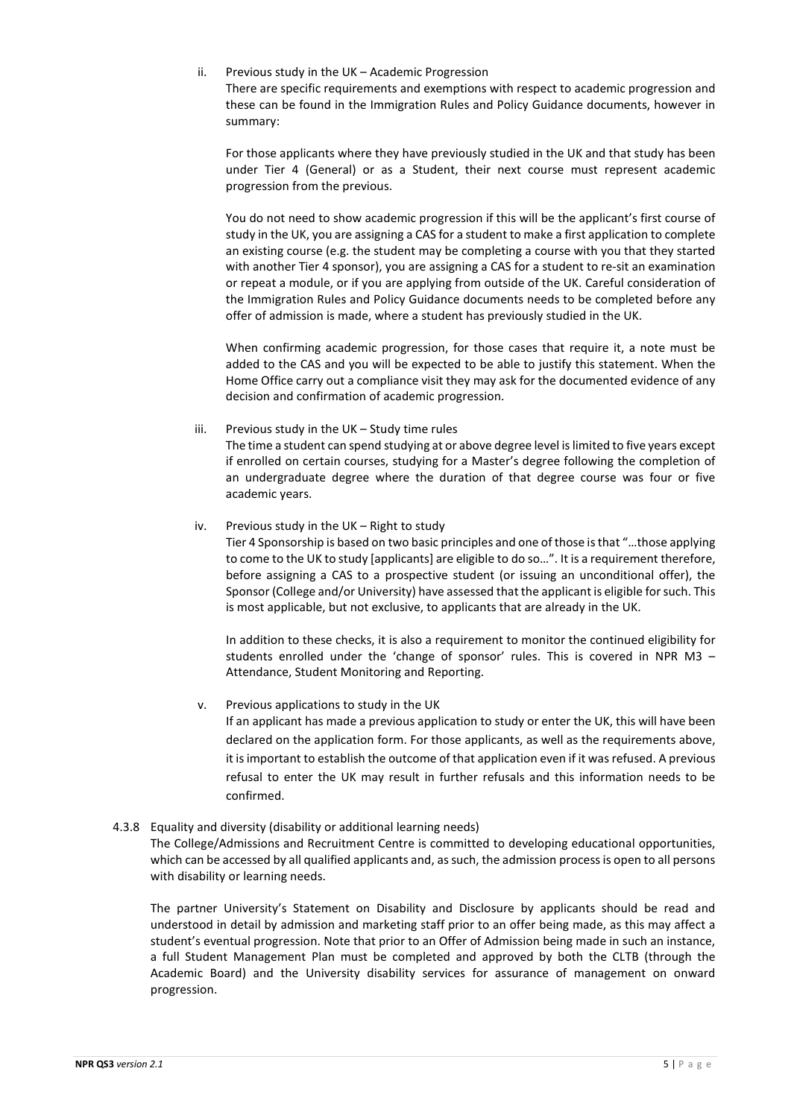ii. Previous study in the UK – Academic Progression

There are specific requirements and exemptions with respect to academic progression and these can be found in the Immigration Rules and Policy Guidance documents, however in summary:

For those applicants where they have previously studied in the UK and that study has been under Tier 4 (General) or as a Student, their next course must represent academic progression from the previous.

You do not need to show academic progression if this will be the applicant's first course of study in the UK, you are assigning a CAS for a student to make a first application to complete an existing course (e.g. the student may be completing a course with you that they started with another Tier 4 sponsor), you are assigning a CAS for a student to re-sit an examination or repeat a module, or if you are applying from outside of the UK. Careful consideration of the Immigration Rules and Policy Guidance documents needs to be completed before any offer of admission is made, where a student has previously studied in the UK.

When confirming academic progression, for those cases that require it, a note must be added to the CAS and you will be expected to be able to justify this statement. When the Home Office carry out a compliance visit they may ask for the documented evidence of any decision and confirmation of academic progression.

### iii. Previous study in the UK – Study time rules

The time a student can spend studying at or above degree level is limited to five years except if enrolled on certain courses, studying for a Master's degree following the completion of an undergraduate degree where the duration of that degree course was four or five academic years.

iv. Previous study in the UK – Right to study

Tier 4 Sponsorship is based on two basic principles and one of those is that "…those applying to come to the UK to study [applicants] are eligible to do so…". It is a requirement therefore, before assigning a CAS to a prospective student (or issuing an unconditional offer), the Sponsor (College and/or University) have assessed that the applicant is eligible for such. This is most applicable, but not exclusive, to applicants that are already in the UK.

In addition to these checks, it is also a requirement to monitor the continued eligibility for students enrolled under the 'change of sponsor' rules. This is covered in NPR M3 – Attendance, Student Monitoring and Reporting.

### v. Previous applications to study in the UK

If an applicant has made a previous application to study or enter the UK, this will have been declared on the application form. For those applicants, as well as the requirements above, it is important to establish the outcome of that application even if it was refused. A previous refusal to enter the UK may result in further refusals and this information needs to be confirmed.

### 4.3.8 Equality and diversity (disability or additional learning needs)

The College/Admissions and Recruitment Centre is committed to developing educational opportunities, which can be accessed by all qualified applicants and, as such, the admission process is open to all persons with disability or learning needs.

The partner University's Statement on Disability and Disclosure by applicants should be read and understood in detail by admission and marketing staff prior to an offer being made, as this may affect a student's eventual progression. Note that prior to an Offer of Admission being made in such an instance, a full Student Management Plan must be completed and approved by both the CLTB (through the Academic Board) and the University disability services for assurance of management on onward progression.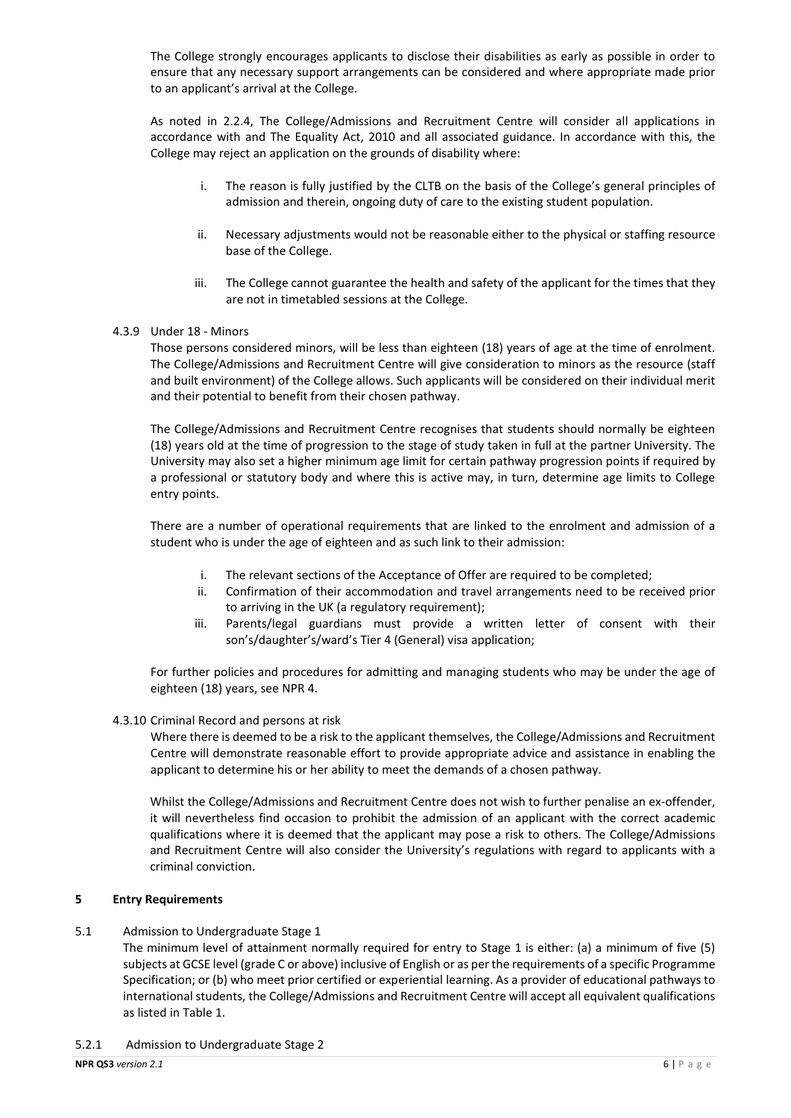The College strongly encourages applicants to disclose their disabilities as early as possible in order to ensure that any necessary support arrangements can be considered and where appropriate made prior to an applicant's arrival at the College.

As noted in 2.2.4, The College/Admissions and Recruitment Centre will consider all applications in accordance with and The Equality Act, 2010 and all associated guidance. In accordance with this, the College may reject an application on the grounds of disability where:

- i. The reason is fully justified by the CLTB on the basis of the College's general principles of admission and therein, ongoing duty of care to the existing student population.
- ii. Necessary adjustments would not be reasonable either to the physical or staffing resource base of the College.
- iii. The College cannot guarantee the health and safety of the applicant for the times that they are not in timetabled sessions at the College.
- 4.3.9 Under 18 Minors

Those persons considered minors, will be less than eighteen (18) years of age at the time of enrolment. The College/Admissions and Recruitment Centre will give consideration to minors as the resource (staff and built environment) of the College allows. Such applicants will be considered on their individual merit and their potential to benefit from their chosen pathway.

The College/Admissions and Recruitment Centre recognises that students should normally be eighteen (18) years old at the time of progression to the stage of study taken in full at the partner University. The University may also set a higher minimum age limit for certain pathway progression points if required by a professional or statutory body and where this is active may, in turn, determine age limits to College entry points.

There are a number of operational requirements that are linked to the enrolment and admission of a student who is under the age of eighteen and as such link to their admission:

- i. The relevant sections of the Acceptance of Offer are required to be completed;
- ii. Confirmation of their accommodation and travel arrangements need to be received prior to arriving in the UK (a regulatory requirement);
- iii. Parents/legal guardians must provide a written letter of consent with their son's/daughter's/ward's Tier 4 (General) visa application;

For further policies and procedures for admitting and managing students who may be under the age of eighteen (18) years, see NPR 4.

### 4.3.10 Criminal Record and persons at risk

Where there is deemed to be a risk to the applicant themselves, the College/Admissions and Recruitment Centre will demonstrate reasonable effort to provide appropriate advice and assistance in enabling the applicant to determine his or her ability to meet the demands of a chosen pathway.

Whilst the College/Admissions and Recruitment Centre does not wish to further penalise an ex-offender, it will nevertheless find occasion to prohibit the admission of an applicant with the correct academic qualifications where it is deemed that the applicant may pose a risk to others. The College/Admissions and Recruitment Centre will also consider the University's regulations with regard to applicants with a criminal conviction.

### **5 Entry Requirements**

# 5.1 Admission to Undergraduate Stage 1

The minimum level of attainment normally required for entry to Stage 1 is either: (a) a minimum of five (5) subjects at GCSE level (grade C or above) inclusive of English or as per the requirements of a specific Programme Specification; or (b) who meet prior certified or experiential learning. As a provider of educational pathways to international students, the College/Admissions and Recruitment Centre will accept all equivalent qualifications as listed in Table 1.

5.2.1 Admission to Undergraduate Stage 2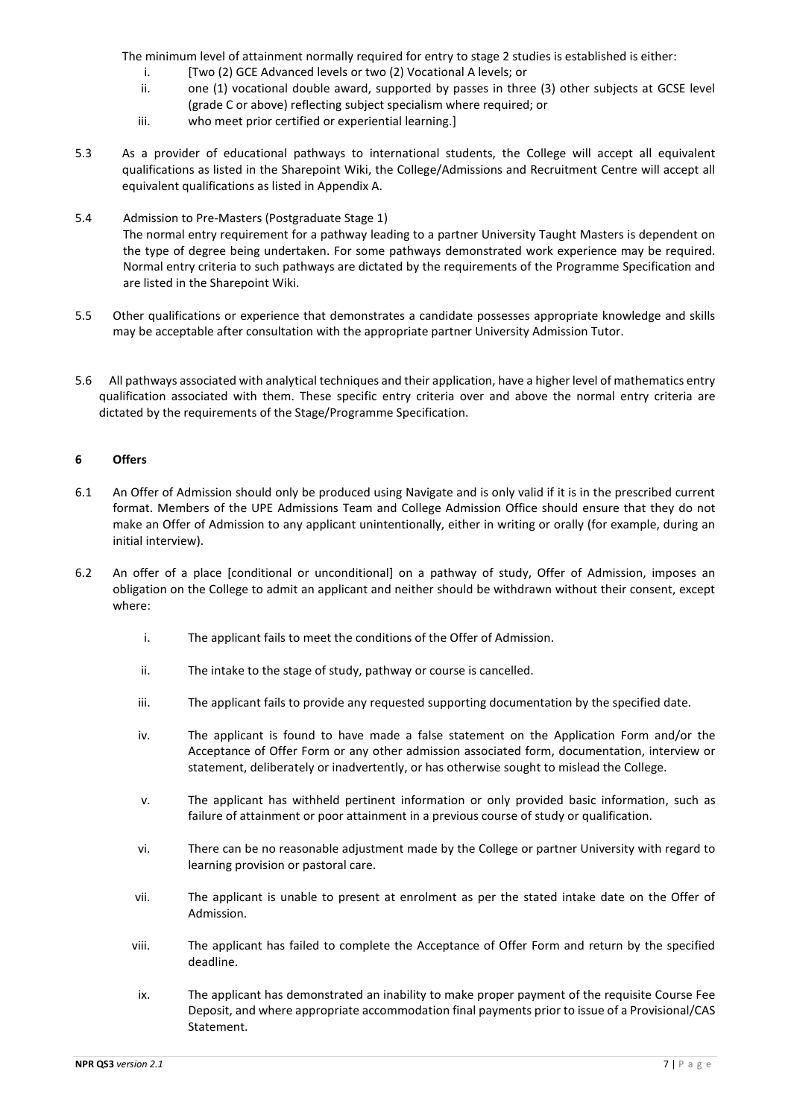The minimum level of attainment normally required for entry to stage 2 studies is established is either:

- i. [Two (2) GCE Advanced levels or two (2) Vocational A levels; or
- ii. one (1) vocational double award, supported by passes in three (3) other subjects at GCSE level (grade C or above) reflecting subject specialism where required; or
- iii. who meet prior certified or experiential learning.]
- 5.3 As a provider of educational pathways to international students, the College will accept all equivalent qualifications as listed in the Sharepoint Wiki, the College/Admissions and Recruitment Centre will accept all equivalent qualifications as listed in Appendix A.
- 5.4 Admission to Pre-Masters (Postgraduate Stage 1) The normal entry requirement for a pathway leading to a partner University Taught Masters is dependent on the type of degree being undertaken. For some pathways demonstrated work experience may be required. Normal entry criteria to such pathways are dictated by the requirements of the Programme Specification and are listed in the Sharepoint Wiki.
- 5.5 Other qualifications or experience that demonstrates a candidate possesses appropriate knowledge and skills may be acceptable after consultation with the appropriate partner University Admission Tutor.
- 5.6 All pathways associated with analytical techniques and their application, have a higher level of mathematics entry qualification associated with them. These specific entry criteria over and above the normal entry criteria are dictated by the requirements of the Stage/Programme Specification.

### **6 Offers**

- 6.1 An Offer of Admission should only be produced using Navigate and is only valid if it is in the prescribed current format. Members of the UPE Admissions Team and College Admission Office should ensure that they do not make an Offer of Admission to any applicant unintentionally, either in writing or orally (for example, during an initial interview).
- 6.2 An offer of a place [conditional or unconditional] on a pathway of study, Offer of Admission, imposes an obligation on the College to admit an applicant and neither should be withdrawn without their consent, except where:
	- i. The applicant fails to meet the conditions of the Offer of Admission.
	- ii. The intake to the stage of study, pathway or course is cancelled.
	- iii. The applicant fails to provide any requested supporting documentation by the specified date.
	- iv. The applicant is found to have made a false statement on the Application Form and/or the Acceptance of Offer Form or any other admission associated form, documentation, interview or statement, deliberately or inadvertently, or has otherwise sought to mislead the College.
	- v. The applicant has withheld pertinent information or only provided basic information, such as failure of attainment or poor attainment in a previous course of study or qualification.
	- vi. There can be no reasonable adjustment made by the College or partner University with regard to learning provision or pastoral care.
	- vii. The applicant is unable to present at enrolment as per the stated intake date on the Offer of Admission.
	- viii. The applicant has failed to complete the Acceptance of Offer Form and return by the specified deadline.
	- ix. The applicant has demonstrated an inability to make proper payment of the requisite Course Fee Deposit, and where appropriate accommodation final payments prior to issue of a Provisional/CAS Statement.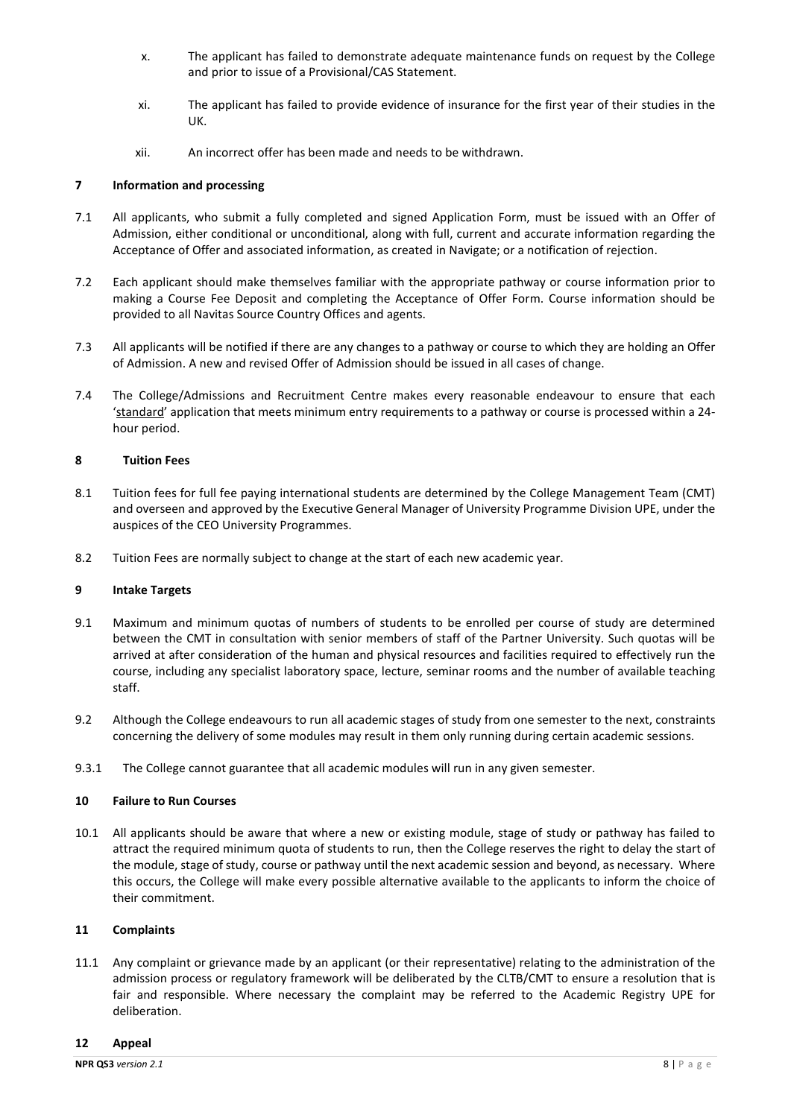- x. The applicant has failed to demonstrate adequate maintenance funds on request by the College and prior to issue of a Provisional/CAS Statement.
- xi. The applicant has failed to provide evidence of insurance for the first year of their studies in the UK.
- xii. An incorrect offer has been made and needs to be withdrawn.

# **7 Information and processing**

- 7.1 All applicants, who submit a fully completed and signed Application Form, must be issued with an Offer of Admission, either conditional or unconditional, along with full, current and accurate information regarding the Acceptance of Offer and associated information, as created in Navigate; or a notification of rejection.
- 7.2 Each applicant should make themselves familiar with the appropriate pathway or course information prior to making a Course Fee Deposit and completing the Acceptance of Offer Form. Course information should be provided to all Navitas Source Country Offices and agents.
- 7.3 All applicants will be notified if there are any changes to a pathway or course to which they are holding an Offer of Admission. A new and revised Offer of Admission should be issued in all cases of change.
- 7.4 The College/Admissions and Recruitment Centre makes every reasonable endeavour to ensure that each 'standard' application that meets minimum entry requirements to a pathway or course is processed within a 24 hour period.

### **8 Tuition Fees**

- 8.1 Tuition fees for full fee paying international students are determined by the College Management Team (CMT) and overseen and approved by the Executive General Manager of University Programme Division UPE, under the auspices of the CEO University Programmes.
- 8.2 Tuition Fees are normally subject to change at the start of each new academic year.

### **9 Intake Targets**

- 9.1 Maximum and minimum quotas of numbers of students to be enrolled per course of study are determined between the CMT in consultation with senior members of staff of the Partner University. Such quotas will be arrived at after consideration of the human and physical resources and facilities required to effectively run the course, including any specialist laboratory space, lecture, seminar rooms and the number of available teaching staff.
- 9.2 Although the College endeavours to run all academic stages of study from one semester to the next, constraints concerning the delivery of some modules may result in them only running during certain academic sessions.
- 9.3.1 The College cannot guarantee that all academic modules will run in any given semester.

### **10 Failure to Run Courses**

10.1 All applicants should be aware that where a new or existing module, stage of study or pathway has failed to attract the required minimum quota of students to run, then the College reserves the right to delay the start of the module, stage of study, course or pathway until the next academic session and beyond, as necessary. Where this occurs, the College will make every possible alternative available to the applicants to inform the choice of their commitment.

### **11 Complaints**

11.1 Any complaint or grievance made by an applicant (or their representative) relating to the administration of the admission process or regulatory framework will be deliberated by the CLTB/CMT to ensure a resolution that is fair and responsible. Where necessary the complaint may be referred to the Academic Registry UPE for deliberation.

### **12 Appeal**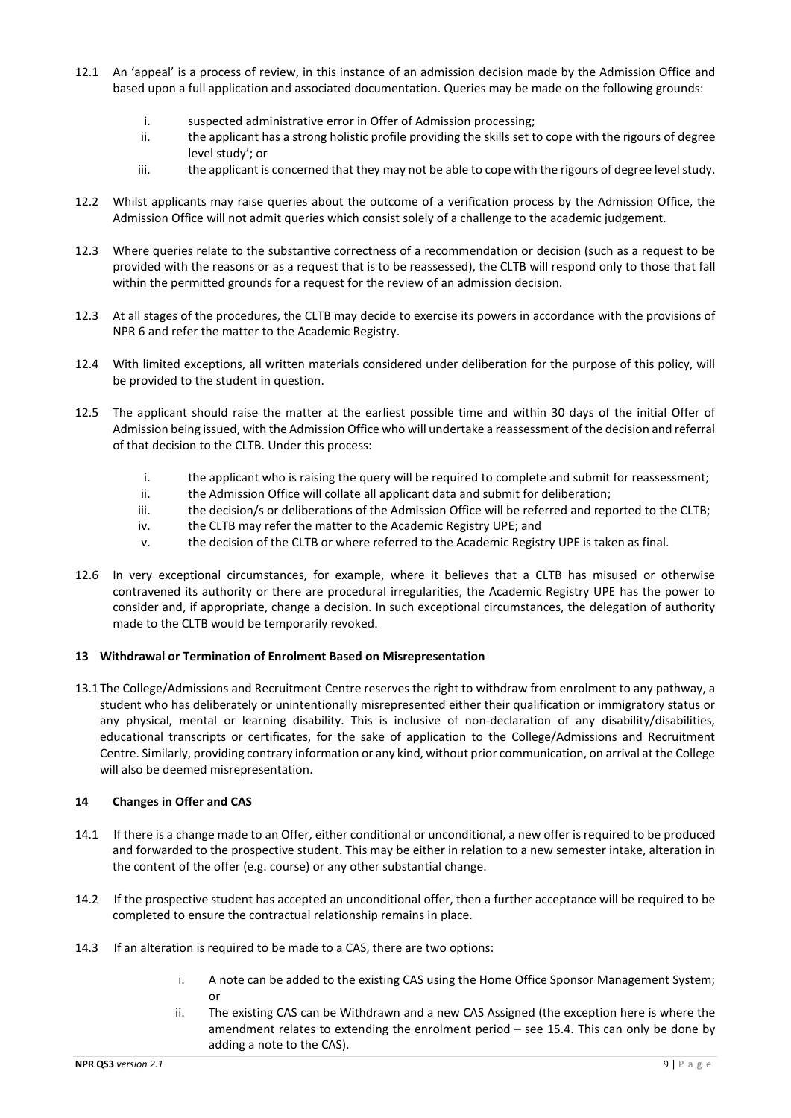- 12.1 An 'appeal' is a process of review, in this instance of an admission decision made by the Admission Office and based upon a full application and associated documentation. Queries may be made on the following grounds:
	- i. suspected administrative error in Offer of Admission processing;
	- ii. the applicant has a strong holistic profile providing the skills set to cope with the rigours of degree level study'; or
	- iii. the applicant is concerned that they may not be able to cope with the rigours of degree level study.
- 12.2 Whilst applicants may raise queries about the outcome of a verification process by the Admission Office, the Admission Office will not admit queries which consist solely of a challenge to the academic judgement.
- 12.3 Where queries relate to the substantive correctness of a recommendation or decision (such as a request to be provided with the reasons or as a request that is to be reassessed), the CLTB will respond only to those that fall within the permitted grounds for a request for the review of an admission decision.
- 12.3 At all stages of the procedures, the CLTB may decide to exercise its powers in accordance with the provisions of NPR 6 and refer the matter to the Academic Registry.
- 12.4 With limited exceptions, all written materials considered under deliberation for the purpose of this policy, will be provided to the student in question.
- 12.5 The applicant should raise the matter at the earliest possible time and within 30 days of the initial Offer of Admission being issued, with the Admission Office who will undertake a reassessment of the decision and referral of that decision to the CLTB. Under this process:
	- i. the applicant who is raising the query will be required to complete and submit for reassessment;
	- ii. the Admission Office will collate all applicant data and submit for deliberation;
	- iii. the decision/s or deliberations of the Admission Office will be referred and reported to the CLTB;
	- iv. the CLTB may refer the matter to the Academic Registry UPE; and
	- v. the decision of the CLTB or where referred to the Academic Registry UPE is taken as final.
- 12.6 In very exceptional circumstances, for example, where it believes that a CLTB has misused or otherwise contravened its authority or there are procedural irregularities, the Academic Registry UPE has the power to consider and, if appropriate, change a decision. In such exceptional circumstances, the delegation of authority made to the CLTB would be temporarily revoked.

### **13 Withdrawal or Termination of Enrolment Based on Misrepresentation**

13.1The College/Admissions and Recruitment Centre reserves the right to withdraw from enrolment to any pathway, a student who has deliberately or unintentionally misrepresented either their qualification or immigratory status or any physical, mental or learning disability. This is inclusive of non-declaration of any disability/disabilities, educational transcripts or certificates, for the sake of application to the College/Admissions and Recruitment Centre. Similarly, providing contrary information or any kind, without prior communication, on arrival at the College will also be deemed misrepresentation.

# **14 Changes in Offer and CAS**

- 14.1 If there is a change made to an Offer, either conditional or unconditional, a new offer is required to be produced and forwarded to the prospective student. This may be either in relation to a new semester intake, alteration in the content of the offer (e.g. course) or any other substantial change.
- 14.2 If the prospective student has accepted an unconditional offer, then a further acceptance will be required to be completed to ensure the contractual relationship remains in place.
- 14.3 If an alteration is required to be made to a CAS, there are two options:
	- i. A note can be added to the existing CAS using the Home Office Sponsor Management System; or
	- ii. The existing CAS can be Withdrawn and a new CAS Assigned (the exception here is where the amendment relates to extending the enrolment period – see 15.4. This can only be done by adding a note to the CAS).